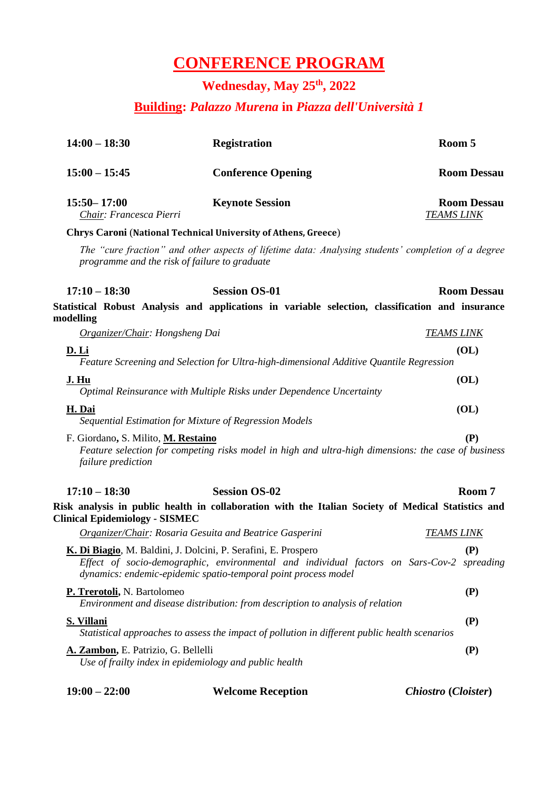## **CONFERENCE PROGRAM**

#### **Wednesday, May 25 th, 2022**

#### **Building:** *Palazzo Murena* **in** *Piazza dell'Università 1*

| $14:00 - 18:30$                                           | <b>Registration</b>                                                                                                                                                                                                           | Room 5                                  |
|-----------------------------------------------------------|-------------------------------------------------------------------------------------------------------------------------------------------------------------------------------------------------------------------------------|-----------------------------------------|
| $15:00 - 15:45$                                           | <b>Conference Opening</b>                                                                                                                                                                                                     | <b>Room Dessau</b>                      |
| $15:50 - 17:00$<br>Chair: Francesca Pierri                | <b>Keynote Session</b>                                                                                                                                                                                                        | <b>Room Dessau</b><br><b>TEAMS LINK</b> |
|                                                           | <b>Chrys Caroni (National Technical University of Athens, Greece)</b>                                                                                                                                                         |                                         |
|                                                           | The "cure fraction" and other aspects of lifetime data: Analysing students' completion of a degree<br>programme and the risk of failure to graduate                                                                           |                                         |
| $17:10 - 18:30$                                           | <b>Session OS-01</b>                                                                                                                                                                                                          | <b>Room Dessau</b>                      |
| modelling                                                 | Statistical Robust Analysis and applications in variable selection, classification and insurance                                                                                                                              |                                         |
| Organizer/Chair: Hongsheng Dai                            |                                                                                                                                                                                                                               | <b>TEAMS LINK</b>                       |
| D. Li                                                     | Feature Screening and Selection for Ultra-high-dimensional Additive Quantile Regression                                                                                                                                       | (O <sub>L</sub> )                       |
| <u>J. Hu</u>                                              | Optimal Reinsurance with Multiple Risks under Dependence Uncertainty                                                                                                                                                          | (O <sub>L</sub> )                       |
| H. Dai                                                    | Sequential Estimation for Mixture of Regression Models                                                                                                                                                                        | (O <sub>L</sub> )                       |
| F. Giordano, S. Milito, M. Restaino<br>failure prediction | Feature selection for competing risks model in high and ultra-high dimensions: the case of business                                                                                                                           | (P)                                     |
| $17:10 - 18:30$                                           | <b>Session OS-02</b>                                                                                                                                                                                                          | Room 7                                  |
| <b>Clinical Epidemiology - SISMEC</b>                     | Risk analysis in public health in collaboration with the Italian Society of Medical Statistics and                                                                                                                            |                                         |
|                                                           | <b>Organizer/Chair: Rosaria Gesuita and Beatrice Gasperini</b>                                                                                                                                                                | <u>TEAMS LINK</u>                       |
|                                                           | K. Di Biagio, M. Baldini, J. Dolcini, P. Serafini, E. Prospero<br>Effect of socio-demographic, environmental and individual factors on Sars-Cov-2 spreading<br>dynamics: endemic-epidemic spatio-temporal point process model | (P)                                     |
| P. Trerotoli, N. Bartolomeo                               | Environment and disease distribution: from description to analysis of relation                                                                                                                                                | (P)                                     |
| <b>S. Villani</b>                                         | Statistical approaches to assess the impact of pollution in different public health scenarios                                                                                                                                 | (P)                                     |
| A. Zambon, E. Patrizio, G. Bellelli                       | Use of frailty index in epidemiology and public health                                                                                                                                                                        | (P)                                     |
| $19:00 - 22:00$                                           | <b>Welcome Reception</b>                                                                                                                                                                                                      | Chiostro (Cloister)                     |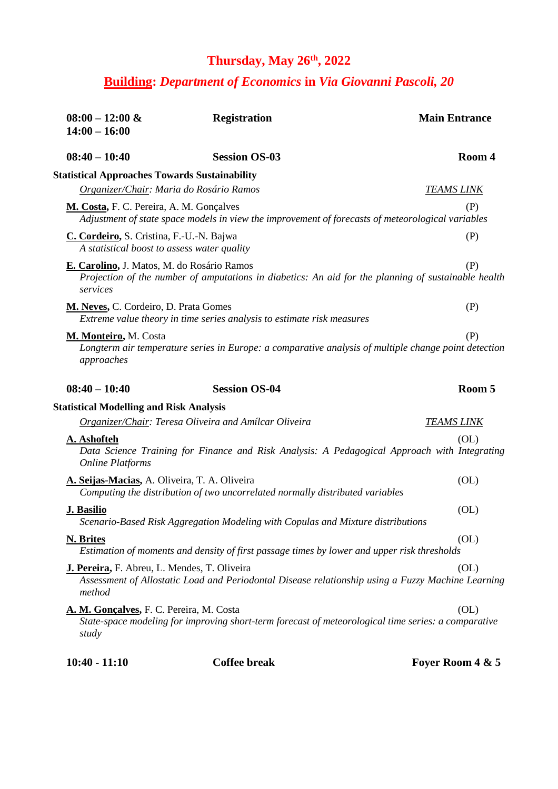## **Thursday, May 26th, 2022**

#### **Building:** *Department of Economics* **in** *Via Giovanni Pascoli, 20*

| $08:00 - 12:00 \&$<br>$14:00 - 16:00$                                                   | <b>Registration</b>                                                                                  | <b>Main Entrance</b> |
|-----------------------------------------------------------------------------------------|------------------------------------------------------------------------------------------------------|----------------------|
| $08:40 - 10:40$                                                                         | <b>Session OS-03</b>                                                                                 | Room 4               |
| <b>Statistical Approaches Towards Sustainability</b>                                    |                                                                                                      |                      |
| Organizer/Chair: Maria do Rosário Ramos                                                 |                                                                                                      | <b>TEAMS LINK</b>    |
| M. Costa, F. C. Pereira, A. M. Gonçalves                                                | Adjustment of state space models in view the improvement of forecasts of meteorological variables    | (P)                  |
| C. Cordeiro, S. Cristina, F.-U.-N. Bajwa<br>A statistical boost to assess water quality |                                                                                                      | (P)                  |
| E. Carolino, J. Matos, M. do Rosário Ramos<br>services                                  | Projection of the number of amputations in diabetics: An aid for the planning of sustainable health  | (P)                  |
| M. Neves, C. Cordeiro, D. Prata Gomes                                                   | Extreme value theory in time series analysis to estimate risk measures                               | (P)                  |
| M. Monteiro, M. Costa<br>approaches                                                     | Longterm air temperature series in Europe: a comparative analysis of multiple change point detection | (P)                  |
| $08:40 - 10:40$                                                                         | <b>Session OS-04</b>                                                                                 | Room 5               |
| <b>Statistical Modelling and Risk Analysis</b>                                          |                                                                                                      |                      |
|                                                                                         | Organizer/Chair: Teresa Oliveira and Amílcar Oliveira                                                | <u>TEAMS LINK</u>    |
| A. Ashofteh<br><b>Online Platforms</b>                                                  | Data Science Training for Finance and Risk Analysis: A Pedagogical Approach with Integrating         | (OL)                 |
| A. Seijas-Macias, A. Oliveira, T. A. Oliveira                                           | Computing the distribution of two uncorrelated normally distributed variables                        | (O <sub>L</sub> )    |
| J. Basilio                                                                              | Scenario-Based Risk Aggregation Modeling with Copulas and Mixture distributions                      | (OL)                 |
| N. Brites                                                                               | Estimation of moments and density of first passage times by lower and upper risk thresholds          | (OL)                 |
| J. Pereira, F. Abreu, L. Mendes, T. Oliveira<br>method                                  | Assessment of Allostatic Load and Periodontal Disease relationship using a Fuzzy Machine Learning    | (OL)                 |
| A. M. Gonçalves, F. C. Pereira, M. Costa<br>study                                       | State-space modeling for improving short-term forecast of meteorological time series: a comparative  | (OL)                 |
| $10:40 - 11:10$                                                                         | <b>Coffee break</b>                                                                                  | Foyer Room 4 & 5     |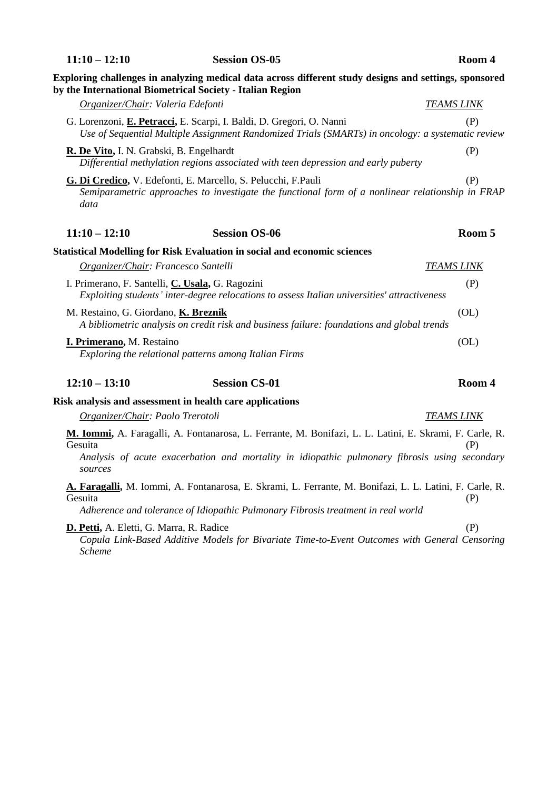|                                                           | Exploring challenges in analyzing medical data across different study designs and settings, sponsored<br>by the International Biometrical Society - Italian Region                                       |                   |
|-----------------------------------------------------------|----------------------------------------------------------------------------------------------------------------------------------------------------------------------------------------------------------|-------------------|
| Organizer/Chair: Valeria Edefonti                         |                                                                                                                                                                                                          | <b>TEAMS LINK</b> |
|                                                           | G. Lorenzoni, E. Petracci, E. Scarpi, I. Baldi, D. Gregori, O. Nanni<br>Use of Sequential Multiple Assignment Randomized Trials (SMARTs) in oncology: a systematic review                                | (P)               |
| R. De Vito, I. N. Grabski, B. Engelhardt                  | Differential methylation regions associated with teen depression and early puberty                                                                                                                       | (P)               |
| data                                                      | G. Di Credico, V. Edefonti, E. Marcello, S. Pelucchi, F.Pauli<br>Semiparametric approaches to investigate the functional form of a nonlinear relationship in FRAP                                        | (P)               |
| $11:10 - 12:10$                                           | <b>Session OS-06</b>                                                                                                                                                                                     | Room 5            |
|                                                           | <b>Statistical Modelling for Risk Evaluation in social and economic sciences</b>                                                                                                                         |                   |
| Organizer/Chair: Francesco Santelli                       |                                                                                                                                                                                                          | <b>TEAMS LINK</b> |
| I. Primerano, F. Santelli, C. Usala, G. Ragozini          | Exploiting students' inter-degree relocations to assess Italian universities' attractiveness                                                                                                             | (P)               |
| M. Restaino, G. Giordano, K. Breznik                      | A bibliometric analysis on credit risk and business failure: foundations and global trends                                                                                                               | (OL)              |
| I. Primerano, M. Restaino                                 | Exploring the relational patterns among Italian Firms                                                                                                                                                    | (OL)              |
| $12:10 - 13:10$                                           | <b>Session CS-01</b>                                                                                                                                                                                     | Room 4            |
|                                                           | Risk analysis and assessment in health care applications                                                                                                                                                 |                   |
| Organizer/Chair: Paolo Trerotoli                          |                                                                                                                                                                                                          | TEAMS LINK        |
| Gesuita<br>sources                                        | M. Iommi, A. Faragalli, A. Fontanarosa, L. Ferrante, M. Bonifazi, L. L. Latini, E. Skrami, F. Carle, R.<br>Analysis of acute exacerbation and mortality in idiopathic pulmonary fibrosis using secondary | (P)               |
| Gesuita                                                   | A. Faragalli, M. Iommi, A. Fontanarosa, E. Skrami, L. Ferrante, M. Bonifazi, L. L. Latini, F. Carle, R.<br>Adherence and tolerance of Idiopathic Pulmonary Fibrosis treatment in real world              | (P)               |
| D. Petti, A. Eletti, G. Marra, R. Radice<br><b>Scheme</b> | Copula Link-Based Additive Models for Bivariate Time-to-Event Outcomes with General Censoring                                                                                                            | (P)               |

**11:10 – 12:10 Session OS-05 Room 4**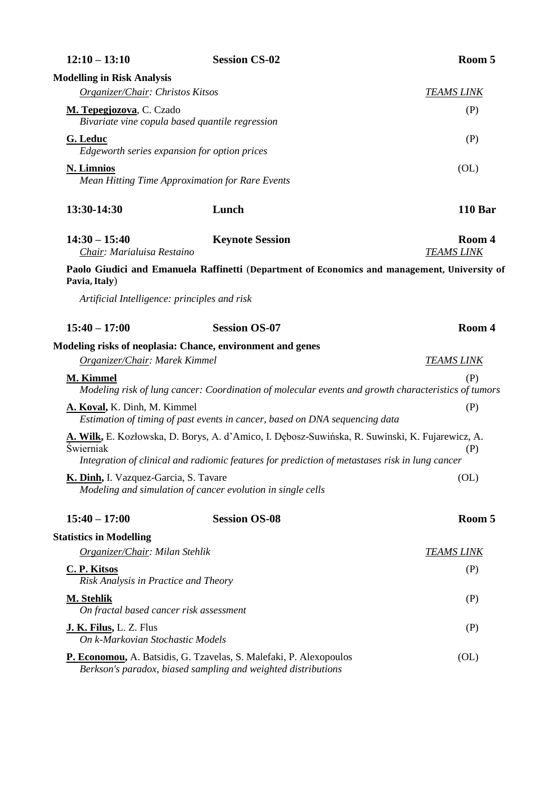| $12:10 - 13:10$                                                    | <b>Session CS-02</b>                                                                                                                                                                              | Room 5                      |
|--------------------------------------------------------------------|---------------------------------------------------------------------------------------------------------------------------------------------------------------------------------------------------|-----------------------------|
| <b>Modelling in Risk Analysis</b>                                  |                                                                                                                                                                                                   |                             |
| Organizer/Chair: Christos Kitsos                                   |                                                                                                                                                                                                   | <b>TEAMS LINK</b>           |
| M. Tepegjozova, C. Czado                                           | Bivariate vine copula based quantile regression                                                                                                                                                   | (P)                         |
| G. Leduc                                                           | Edgeworth series expansion for option prices                                                                                                                                                      | (P)                         |
| <b>N. Limnios</b>                                                  | <b>Mean Hitting Time Approximation for Rare Events</b>                                                                                                                                            | (O <sub>L</sub> )           |
| 13:30-14:30                                                        | Lunch                                                                                                                                                                                             | <b>110 Bar</b>              |
| $14:30 - 15:40$<br>Chair: Marialuisa Restaino                      | <b>Keynote Session</b>                                                                                                                                                                            | Room 4<br><b>TEAMS LINK</b> |
| Pavia, Italy)                                                      | Paolo Giudici and Emanuela Raffinetti (Department of Economics and management, University of                                                                                                      |                             |
| Artificial Intelligence: principles and risk                       |                                                                                                                                                                                                   |                             |
| $15:40 - 17:00$                                                    | <b>Session OS-07</b>                                                                                                                                                                              | Room 4                      |
|                                                                    | Modeling risks of neoplasia: Chance, environment and genes                                                                                                                                        |                             |
| Organizer/Chair: Marek Kimmel                                      |                                                                                                                                                                                                   | <b>TEAMS LINK</b>           |
| M. Kimmel                                                          | Modeling risk of lung cancer: Coordination of molecular events and growth characteristics of tumors                                                                                               | (P)                         |
| A. Koval, K. Dinh, M. Kimmel                                       | Estimation of timing of past events in cancer, based on DNA sequencing data                                                                                                                       | (P)                         |
| Świerniak                                                          | A. Wilk, E. Kozłowska, D. Borys, A. d'Amico, I. Dębosz-Suwińska, R. Suwinski, K. Fujarewicz, A.<br>Integration of clinical and radiomic features for prediction of metastases risk in lung cancer | (P)                         |
| K. Dinh, I. Vazquez-Garcia, S. Tavare                              | Modeling and simulation of cancer evolution in single cells                                                                                                                                       | (OL)                        |
| $15:40 - 17:00$                                                    | <b>Session OS-08</b>                                                                                                                                                                              | Room 5                      |
| <b>Statistics in Modelling</b>                                     |                                                                                                                                                                                                   |                             |
| Organizer/Chair: Milan Stehlik                                     |                                                                                                                                                                                                   | <b>TEAMS LINK</b>           |
| <b>C. P. Kitsos</b><br>Risk Analysis in Practice and Theory        |                                                                                                                                                                                                   | (P)                         |
| M. Stehlik<br>On fractal based cancer risk assessment              |                                                                                                                                                                                                   | (P)                         |
| <b>J. K. Filus, L. Z. Flus</b><br>On k-Markovian Stochastic Models |                                                                                                                                                                                                   | (P)                         |
|                                                                    | P. Economou, A. Batsidis, G. Tzavelas, S. Malefaki, P. Alexopoulos<br>Berkson's paradox, biased sampling and weighted distributions                                                               | (O <sub>L</sub> )           |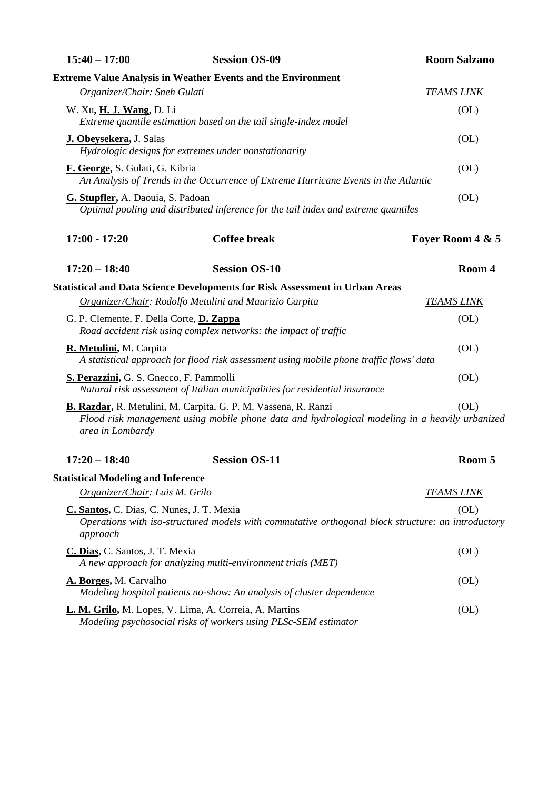| $15:40 - 17:00$                                       | <b>Session OS-09</b>                                                                                                                                             | <b>Room Salzano</b> |
|-------------------------------------------------------|------------------------------------------------------------------------------------------------------------------------------------------------------------------|---------------------|
|                                                       | <b>Extreme Value Analysis in Weather Events and the Environment</b>                                                                                              |                     |
| Organizer/Chair: Sneh Gulati                          |                                                                                                                                                                  | <b>TEAMS LINK</b>   |
| W. Xu, <b>H. J. Wang</b> , D. Li                      | Extreme quantile estimation based on the tail single-index model                                                                                                 | (OL)                |
| <b>J. Obeysekera</b> , J. Salas                       | Hydrologic designs for extremes under nonstationarity                                                                                                            | (OL)                |
| F. George, S. Gulati, G. Kibria                       | An Analysis of Trends in the Occurrence of Extreme Hurricane Events in the Atlantic                                                                              | (O <sub>L</sub> )   |
| G. Stupfler, A. Daouia, S. Padoan                     | Optimal pooling and distributed inference for the tail index and extreme quantiles                                                                               | (OL)                |
| $17:00 - 17:20$                                       | <b>Coffee break</b>                                                                                                                                              | Foyer Room 4 & 5    |
| $17:20 - 18:40$                                       | <b>Session OS-10</b>                                                                                                                                             | Room 4              |
|                                                       | <b>Statistical and Data Science Developments for Risk Assessment in Urban Areas</b>                                                                              |                     |
|                                                       | Organizer/Chair: Rodolfo Metulini and Maurizio Carpita                                                                                                           | <b>TEAMS LINK</b>   |
| G. P. Clemente, F. Della Corte, D. Zappa              | Road accident risk using complex networks: the impact of traffic                                                                                                 | (OL)                |
| R. Metulini, M. Carpita                               | A statistical approach for flood risk assessment using mobile phone traffic flows' data                                                                          | (O <sub>L</sub> )   |
| S. Perazzini, G. S. Gnecco, F. Pammolli               | Natural risk assessment of Italian municipalities for residential insurance                                                                                      | (OL)                |
| area in Lombardy                                      | B. Razdar, R. Metulini, M. Carpita, G. P. M. Vassena, R. Ranzi<br>Flood risk management using mobile phone data and hydrological modeling in a heavily urbanized | (OL)                |
| $17:20 - 18:40$                                       | <b>Session OS-11</b>                                                                                                                                             | Room 5              |
| <b>Statistical Modeling and Inference</b>             |                                                                                                                                                                  |                     |
| Organizer/Chair: Luis M. Grilo                        |                                                                                                                                                                  | <b>TEAMS LINK</b>   |
| C. Santos, C. Dias, C. Nunes, J. T. Mexia<br>approach | Operations with iso-structured models with commutative orthogonal block structure: an introductory                                                               | (OL)                |
| C. Dias, C. Santos, J. T. Mexia                       | A new approach for analyzing multi-environment trials (MET)                                                                                                      | (OL)                |
| A. Borges, M. Carvalho                                | Modeling hospital patients no-show: An analysis of cluster dependence                                                                                            | (O <sub>L</sub> )   |
|                                                       | L. M. Grilo, M. Lopes, V. Lima, A. Correia, A. Martins<br>Modeling psychosocial risks of workers using PLSc-SEM estimator                                        | (O <sub>L</sub> )   |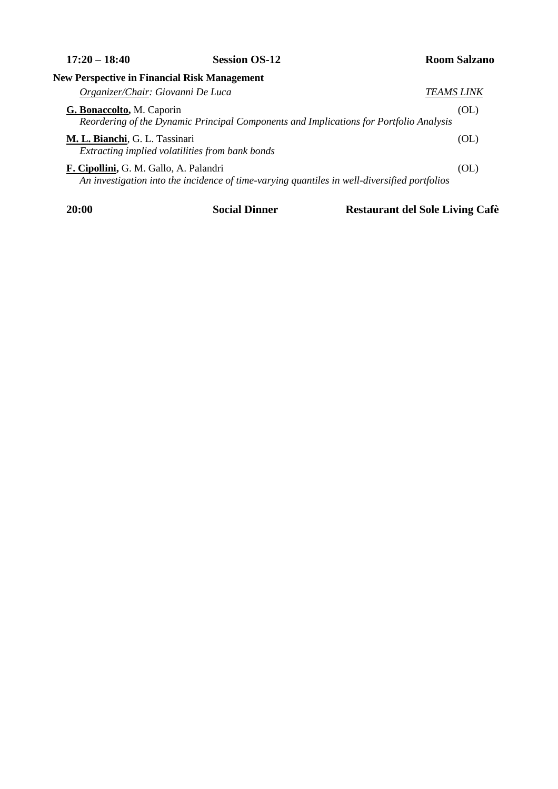**17:20 – 18:40 Session OS-12 Room Salzano**

| <b>New Perspective in Financial Risk Management</b>                                                                                    |                   |
|----------------------------------------------------------------------------------------------------------------------------------------|-------------------|
| Organizer/Chair: Giovanni De Luca                                                                                                      | <i>TEAMS LINK</i> |
| G. Bonaccolto, M. Caporin<br>Reordering of the Dynamic Principal Components and Implications for Portfolio Analysis                    | (OL)              |
| M. L. Bianchi, G. L. Tassinari<br>Extracting implied volatilities from bank bonds                                                      | (OL)              |
| F. Cipollini, G. M. Gallo, A. Palandri<br>An investigation into the incidence of time-varying quantiles in well-diversified portfolios | (OL)              |

**20:00 Social Dinner Restaurant del Sole Living Cafè**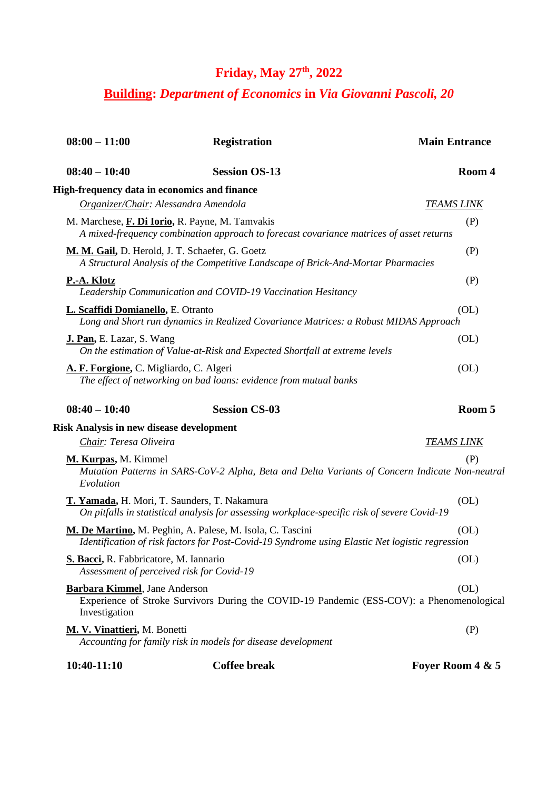# **Friday, May 27th, 2022**

## **Building:** *Department of Economics* **in** *Via Giovanni Pascoli, 20*

| $08:00 - 11:00$                                 | <b>Registration</b>                                                                                                                                          | <b>Main Entrance</b> |
|-------------------------------------------------|--------------------------------------------------------------------------------------------------------------------------------------------------------------|----------------------|
| $08:40 - 10:40$                                 | <b>Session OS-13</b>                                                                                                                                         | Room 4               |
| High-frequency data in economics and finance    |                                                                                                                                                              |                      |
| Organizer/Chair: Alessandra Amendola            |                                                                                                                                                              | <u>TEAMS LINK</u>    |
|                                                 | M. Marchese, F. Di Iorio, R. Payne, M. Tamvakis<br>A mixed-frequency combination approach to forecast covariance matrices of asset returns                   | (P)                  |
| M. M. Gail, D. Herold, J. T. Schaefer, G. Goetz | A Structural Analysis of the Competitive Landscape of Brick-And-Mortar Pharmacies                                                                            | (P)                  |
| P.-A. Klotz                                     | Leadership Communication and COVID-19 Vaccination Hesitancy                                                                                                  | (P)                  |
| L. Scaffidi Domianello, E. Otranto              | Long and Short run dynamics in Realized Covariance Matrices: a Robust MIDAS Approach                                                                         | (OL)                 |
| J. Pan, E. Lazar, S. Wang                       | On the estimation of Value-at-Risk and Expected Shortfall at extreme levels                                                                                  | (O <sub>L</sub> )    |
| A. F. Forgione, C. Migliardo, C. Algeri         | The effect of networking on bad loans: evidence from mutual banks                                                                                            | (O <sub>L</sub> )    |
| $08:40 - 10:40$                                 | <b>Session CS-03</b>                                                                                                                                         | Room 5               |
| <b>Risk Analysis in new disease development</b> |                                                                                                                                                              |                      |
| Chair: Teresa Oliveira                          |                                                                                                                                                              | <u>TEAMS LINK</u>    |
| M. Kurpas, M. Kimmel<br>Evolution               | Mutation Patterns in SARS-CoV-2 Alpha, Beta and Delta Variants of Concern Indicate Non-neutral                                                               | (P)                  |
|                                                 | T. Yamada, H. Mori, T. Saunders, T. Nakamura<br>On pitfalls in statistical analysis for assessing workplace-specific risk of severe Covid-19                 | (OL)                 |
|                                                 | M. De Martino, M. Peghin, A. Palese, M. Isola, C. Tascini<br>Identification of risk factors for Post-Covid-19 Syndrome using Elastic Net logistic regression | (OL)                 |
| S. Bacci, R. Fabbricatore, M. Iannario          |                                                                                                                                                              |                      |
|                                                 | Assessment of perceived risk for Covid-19                                                                                                                    | (OL)                 |
| Barbara Kimmel, Jane Anderson<br>Investigation  | Experience of Stroke Survivors During the COVID-19 Pandemic (ESS-COV): a Phenomenological                                                                    | (OL)                 |
| <b>M. V. Vinattieri</b> , M. Bonetti            | Accounting for family risk in models for disease development                                                                                                 | (P)                  |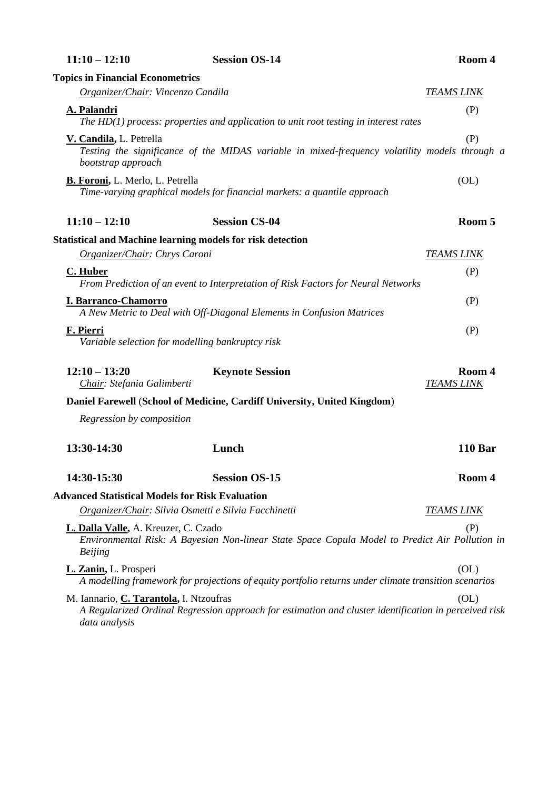| $11:10 - 12:10$                                                   | <b>Session OS-14</b>                                                                                  | Room 4                      |
|-------------------------------------------------------------------|-------------------------------------------------------------------------------------------------------|-----------------------------|
| <b>Topics in Financial Econometrics</b>                           |                                                                                                       |                             |
| Organizer/Chair: Vincenzo Candila                                 |                                                                                                       | <b>TEAMS LINK</b>           |
| A. Palandri                                                       | The $HD(1)$ process: properties and application to unit root testing in interest rates                | (P)                         |
| V. Candila, L. Petrella<br>bootstrap approach                     | Testing the significance of the MIDAS variable in mixed-frequency volatility models through a         | (P)                         |
| <b>B. Foroni, L. Merlo, L. Petrella</b>                           | Time-varying graphical models for financial markets: a quantile approach                              | (O <sub>L</sub> )           |
| $11:10 - 12:10$                                                   | <b>Session CS-04</b>                                                                                  | Room 5                      |
| <b>Statistical and Machine learning models for risk detection</b> |                                                                                                       |                             |
| Organizer/Chair: Chrys Caroni                                     |                                                                                                       | <b>TEAMS LINK</b>           |
| C. Huber                                                          | From Prediction of an event to Interpretation of Risk Factors for Neural Networks                     | (P)                         |
| <b>I. Barranco-Chamorro</b>                                       | A New Metric to Deal with Off-Diagonal Elements in Confusion Matrices                                 | (P)                         |
| F. Pierri<br>Variable selection for modelling bankruptcy risk     |                                                                                                       | (P)                         |
| $12:10 - 13:20$<br>Chair: Stefania Galimberti                     | <b>Keynote Session</b>                                                                                | Room 4<br><b>TEAMS LINK</b> |
|                                                                   | Daniel Farewell (School of Medicine, Cardiff University, United Kingdom)                              |                             |
| Regression by composition                                         |                                                                                                       |                             |
| 13:30-14:30                                                       | Lunch                                                                                                 | <b>110 Bar</b>              |
| 14:30-15:30                                                       | <b>Session OS-15</b>                                                                                  | Room 4                      |
| <b>Advanced Statistical Models for Risk Evaluation</b>            |                                                                                                       |                             |
| Organizer/Chair: Silvia Osmetti e Silvia Facchinetti              |                                                                                                       | <b>TEAMS LINK</b>           |
| L. Dalla Valle, A. Kreuzer, C. Czado<br><b>Beijing</b>            | Environmental Risk: A Bayesian Non-linear State Space Copula Model to Predict Air Pollution in        | (P)                         |
| L. Zanin, L. Prosperi                                             | A modelling framework for projections of equity portfolio returns under climate transition scenarios  | (OL)                        |
| M. Iannario, <i>C. Tarantola</i> , I. Ntzoufras<br>data analysis  | A Regularized Ordinal Regression approach for estimation and cluster identification in perceived risk | (OL)                        |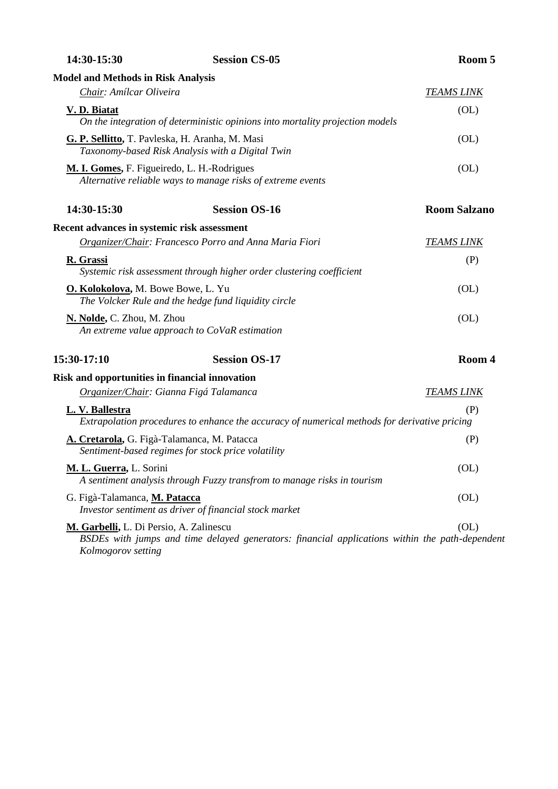| 14:30-15:30                                                   | <b>Session CS-05</b>                                                                                | Room 5              |
|---------------------------------------------------------------|-----------------------------------------------------------------------------------------------------|---------------------|
| <b>Model and Methods in Risk Analysis</b>                     |                                                                                                     |                     |
| Chair: Amílcar Oliveira                                       |                                                                                                     | <b>TEAMS LINK</b>   |
| V. D. Biatat                                                  | On the integration of deterministic opinions into mortality projection models                       | (OL)                |
|                                                               | G. P. Sellitto, T. Pavleska, H. Aranha, M. Masi<br>Taxonomy-based Risk Analysis with a Digital Twin | (O <sub>L</sub> )   |
| M. I. Gomes, F. Figueiredo, L. H.-Rodrigues                   | Alternative reliable ways to manage risks of extreme events                                         | (O <sub>L</sub> )   |
| 14:30-15:30                                                   | <b>Session OS-16</b>                                                                                | <b>Room Salzano</b> |
| Recent advances in systemic risk assessment                   |                                                                                                     |                     |
|                                                               | Organizer/Chair: Francesco Porro and Anna Maria Fiori                                               | <b>TEAMS LINK</b>   |
| R. Grassi                                                     | Systemic risk assessment through higher order clustering coefficient                                | (P)                 |
| O. Kolokolova, M. Bowe Bowe, L. Yu                            | The Volcker Rule and the hedge fund liquidity circle                                                | (OL)                |
| N. Nolde, C. Zhou, M. Zhou                                    | An extreme value approach to CoVaR estimation                                                       | (O <sub>L</sub> )   |
| 15:30-17:10                                                   | <b>Session OS-17</b>                                                                                | Room 4              |
| Risk and opportunities in financial innovation                |                                                                                                     |                     |
|                                                               | Organizer/Chair: Gianna Figá Talamanca                                                              | <b>TEAMS LINK</b>   |
| L. V. Ballestra                                               | Extrapolation procedures to enhance the accuracy of numerical methods for derivative pricing        | (P)                 |
|                                                               | A. Cretarola, G. Figà-Talamanca, M. Patacca<br>Sentiment-based regimes for stock price volatility   | (P)                 |
| M. L. Guerra, L. Sorini                                       | A sentiment analysis through Fuzzy transfrom to manage risks in tourism                             | (OL)                |
| G. Figà-Talamanca, M. Patacca                                 | Investor sentiment as driver of financial stock market                                              | (O <sub>L</sub> )   |
| M. Garbelli, L. Di Persio, A. Zalinescu<br>Kolmogorov setting | BSDEs with jumps and time delayed generators: financial applications within the path-dependent      | (OL)                |